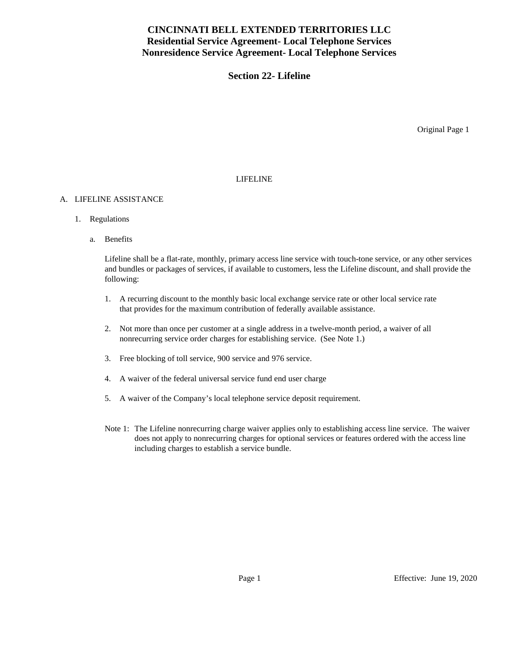# **CINCINNATI BELL EXTENDED TERRITORIES LLC Residential Service Agreement- Local Telephone Services Nonresidence Service Agreement- Local Telephone Services**

## **Section 22- Lifeline**

Original Page 1

### LIFELINE

#### A. LIFELINE ASSISTANCE

- 1. Regulations
	- a. Benefits

Lifeline shall be a flat-rate, monthly, primary access line service with touch-tone service, or any other services and bundles or packages of services, if available to customers, less the Lifeline discount, and shall provide the following:

- 1. A recurring discount to the monthly basic local exchange service rate or other local service rate that provides for the maximum contribution of federally available assistance.
- 2. Not more than once per customer at a single address in a twelve-month period, a waiver of all nonrecurring service order charges for establishing service. (See Note 1.)
- 3. Free blocking of toll service, 900 service and 976 service.
- 4. A waiver of the federal universal service fund end user charge
- 5. A waiver of the Company's local telephone service deposit requirement.
- Note 1: The Lifeline nonrecurring charge waiver applies only to establishing access line service. The waiver does not apply to nonrecurring charges for optional services or features ordered with the access line including charges to establish a service bundle.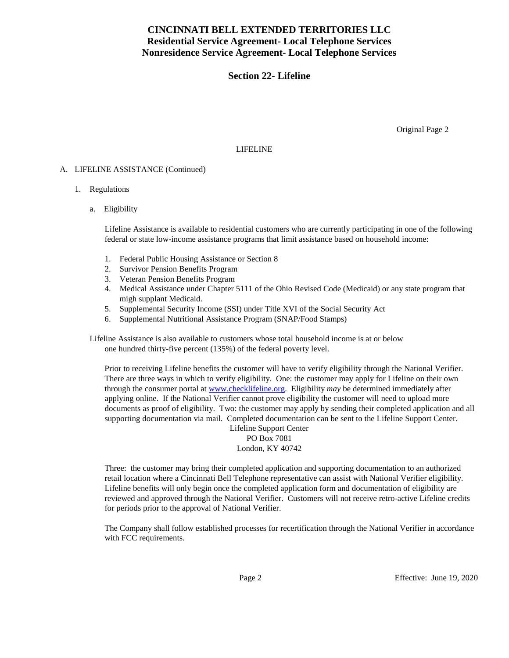# **CINCINNATI BELL EXTENDED TERRITORIES LLC Residential Service Agreement- Local Telephone Services Nonresidence Service Agreement- Local Telephone Services**

## **Section 22- Lifeline**

Original Page 2

#### LIFELINE

#### A. LIFELINE ASSISTANCE (Continued)

#### 1. Regulations

a. Eligibility

Lifeline Assistance is available to residential customers who are currently participating in one of the following federal or state low-income assistance programs that limit assistance based on household income:

- 1. Federal Public Housing Assistance or Section 8
- 2. Survivor Pension Benefits Program
- 3. Veteran Pension Benefits Program
- 4. Medical Assistance under Chapter 5111 of the Ohio Revised Code (Medicaid) or any state program that migh supplant Medicaid.
- 5. Supplemental Security Income (SSI) under Title XVI of the Social Security Act
- 6. Supplemental Nutritional Assistance Program (SNAP/Food Stamps)

Lifeline Assistance is also available to customers whose total household income is at or below one hundred thirty-five percent (135%) of the federal poverty level.

Prior to receiving Lifeline benefits the customer will have to verify eligibility through the National Verifier. There are three ways in which to verify eligibility. One: the customer may apply for Lifeline on their own through the consumer portal at [www.checklifeline.org.](http://www.checklifeline.org/) Eligibility *may* be determined immediately after applying online. If the National Verifier cannot prove eligibility the customer will need to upload more documents as proof of eligibility. Two: the customer may apply by sending their completed application and all supporting documentation via mail. Completed documentation can be sent to the Lifeline Support Center.

Lifeline Support Center PO Box 7081 London, KY 40742

Three: the customer may bring their completed application and supporting documentation to an authorized retail location where a Cincinnati Bell Telephone representative can assist with National Verifier eligibility. Lifeline benefits will only begin once the completed application form and documentation of eligibility are reviewed and approved through the National Verifier. Customers will not receive retro-active Lifeline credits for periods prior to the approval of National Verifier.

The Company shall follow established processes for recertification through the National Verifier in accordance with FCC requirements.